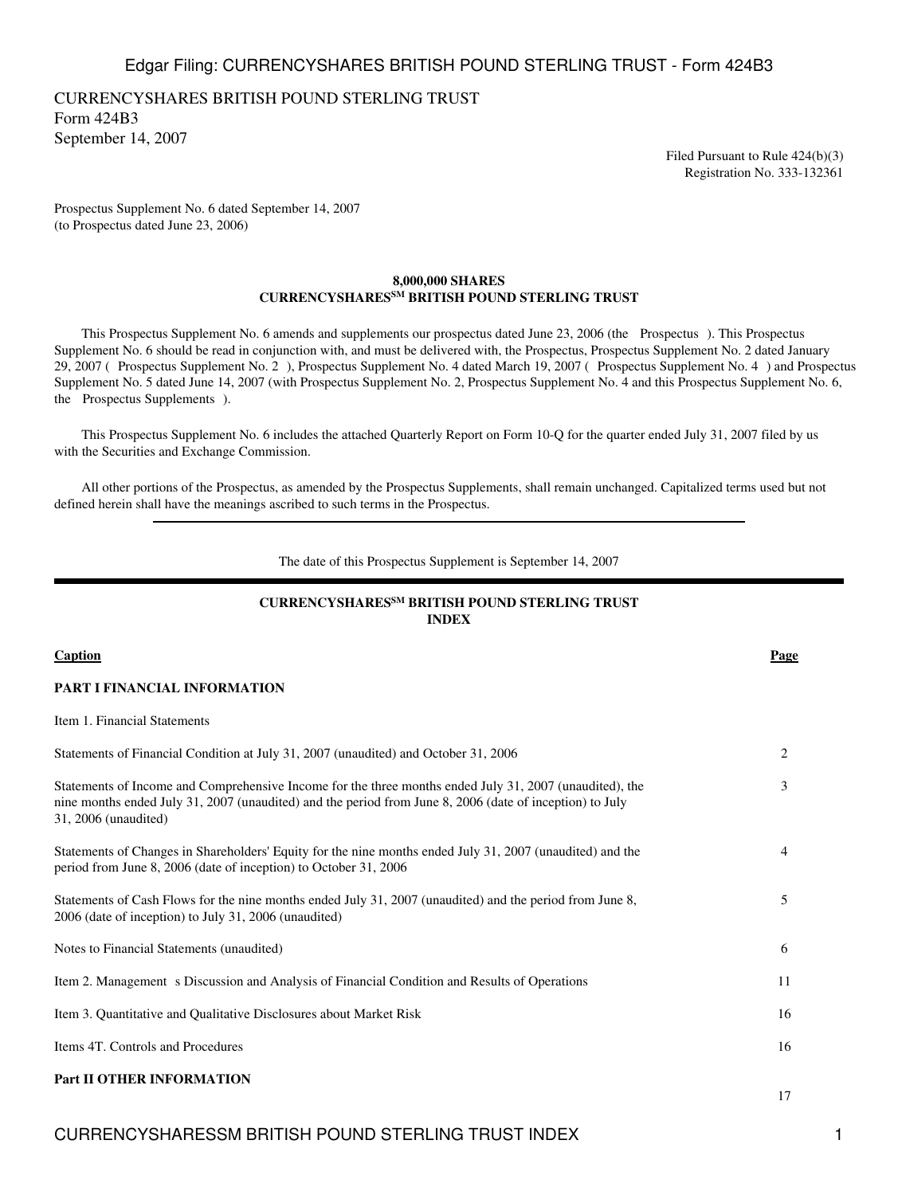CURRENCYSHARES BRITISH POUND STERLING TRUST Form 424B3 September 14, 2007

> Filed Pursuant to Rule 424(b)(3) Registration No. 333-132361

Prospectus Supplement No. 6 dated September 14, 2007 (to Prospectus dated June 23, 2006)

## **8,000,000 SHARES CURRENCYSHARESSM BRITISH POUND STERLING TRUST**

 This Prospectus Supplement No. 6 amends and supplements our prospectus dated June 23, 2006 (the Prospectus). This Prospectus Supplement No. 6 should be read in conjunction with, and must be delivered with, the Prospectus, Prospectus Supplement No. 2 dated January 29, 2007 (Prospectus Supplement No. 2), Prospectus Supplement No. 4 dated March 19, 2007 (Prospectus Supplement No. 4) and Prospectus Supplement No. 5 dated June 14, 2007 (with Prospectus Supplement No. 2, Prospectus Supplement No. 4 and this Prospectus Supplement No. 6, the Prospectus Supplements).

 This Prospectus Supplement No. 6 includes the attached Quarterly Report on Form 10-Q for the quarter ended July 31, 2007 filed by us with the Securities and Exchange Commission.

 All other portions of the Prospectus, as amended by the Prospectus Supplements, shall remain unchanged. Capitalized terms used but not defined herein shall have the meanings ascribed to such terms in the Prospectus.

#### The date of this Prospectus Supplement is September 14, 2007

## **CURRENCYSHARESSM BRITISH POUND STERLING TRUST INDEX**

| <b>Caption</b>                                                                                                                                                                                                                              | Page |
|---------------------------------------------------------------------------------------------------------------------------------------------------------------------------------------------------------------------------------------------|------|
| PART I FINANCIAL INFORMATION                                                                                                                                                                                                                |      |
| Item 1. Financial Statements                                                                                                                                                                                                                |      |
| Statements of Financial Condition at July 31, 2007 (unaudited) and October 31, 2006                                                                                                                                                         | 2    |
| Statements of Income and Comprehensive Income for the three months ended July 31, 2007 (unaudited), the<br>nine months ended July 31, 2007 (unaudited) and the period from June 8, 2006 (date of inception) to July<br>31, 2006 (unaudited) | 3    |
| Statements of Changes in Shareholders' Equity for the nine months ended July 31, 2007 (unaudited) and the<br>period from June 8, 2006 (date of inception) to October 31, 2006                                                               | 4    |
| Statements of Cash Flows for the nine months ended July 31, 2007 (unaudited) and the period from June 8,<br>2006 (date of inception) to July 31, 2006 (unaudited)                                                                           | 5    |
| Notes to Financial Statements (unaudited)                                                                                                                                                                                                   | 6    |
| Item 2. Management s Discussion and Analysis of Financial Condition and Results of Operations                                                                                                                                               | 11   |
| Item 3. Quantitative and Qualitative Disclosures about Market Risk                                                                                                                                                                          | 16   |
| Items 4T. Controls and Procedures                                                                                                                                                                                                           | 16   |
| Part II OTHER INFORMATION                                                                                                                                                                                                                   | 17   |

CURRENCYSHARESSM BRITISH POUND STERLING TRUST INDEX 1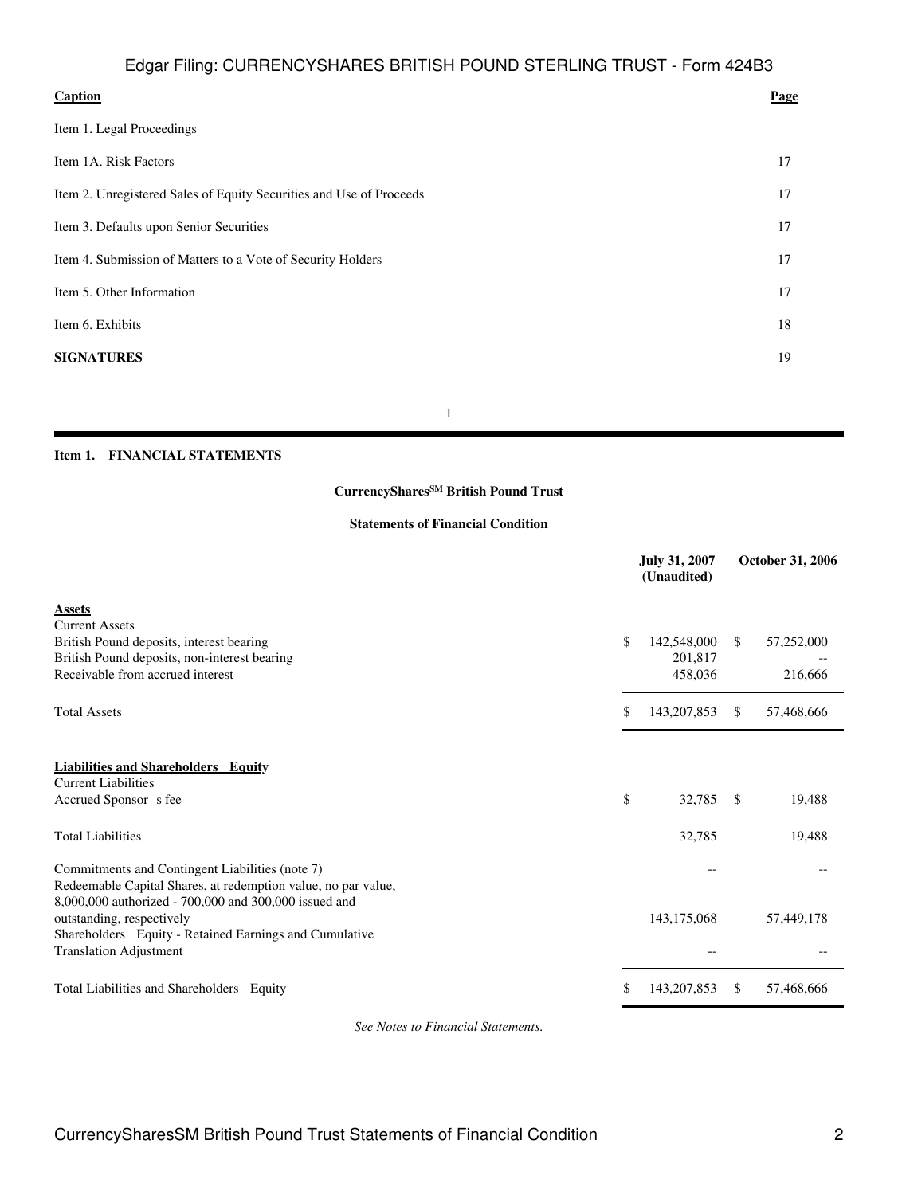| <b>Caption</b><br>Page                                                    |  |
|---------------------------------------------------------------------------|--|
| Item 1. Legal Proceedings                                                 |  |
| Item 1A. Risk Factors<br>17                                               |  |
| Item 2. Unregistered Sales of Equity Securities and Use of Proceeds<br>17 |  |
| Item 3. Defaults upon Senior Securities<br>17                             |  |
| Item 4. Submission of Matters to a Vote of Security Holders<br>17         |  |
| Item 5. Other Information<br>17                                           |  |
| Item 6. Exhibits<br>18                                                    |  |
| <b>SIGNATURES</b><br>19                                                   |  |

1

### **Item 1. FINANCIAL STATEMENTS**

## **CurrencySharesSM British Pound Trust**

## **Statements of Financial Condition**

|                                                                                                                  | <b>July 31, 2007</b><br>(Unaudited) |               | <b>October 31, 2006</b> |
|------------------------------------------------------------------------------------------------------------------|-------------------------------------|---------------|-------------------------|
| <b>Assets</b>                                                                                                    |                                     |               |                         |
| <b>Current Assets</b>                                                                                            |                                     |               |                         |
| British Pound deposits, interest bearing                                                                         | \$<br>142,548,000                   | <sup>\$</sup> | 57,252,000              |
| British Pound deposits, non-interest bearing                                                                     | 201,817                             |               |                         |
| Receivable from accrued interest                                                                                 | 458,036                             |               | 216,666                 |
| <b>Total Assets</b>                                                                                              | \$<br>143, 207, 853                 | $\mathbb{S}$  | 57,468,666              |
| <b>Liabilities and Shareholders Equity</b>                                                                       |                                     |               |                         |
| <b>Current Liabilities</b>                                                                                       |                                     |               |                         |
| Accrued Sponsor s fee                                                                                            | \$<br>32,785                        | -S            | 19,488                  |
| <b>Total Liabilities</b>                                                                                         | 32,785                              |               | 19,488                  |
| Commitments and Contingent Liabilities (note 7)<br>Redeemable Capital Shares, at redemption value, no par value, |                                     |               |                         |
| 8,000,000 authorized - 700,000 and 300,000 issued and                                                            |                                     |               |                         |
| outstanding, respectively                                                                                        | 143,175,068                         |               | 57,449,178              |
| Shareholders Equity - Retained Earnings and Cumulative<br><b>Translation Adjustment</b>                          |                                     |               |                         |
| Total Liabilities and Shareholders Equity                                                                        | \$<br>143, 207, 853                 | <sup>\$</sup> | 57.468.666              |

*See Notes to Financial Statements.*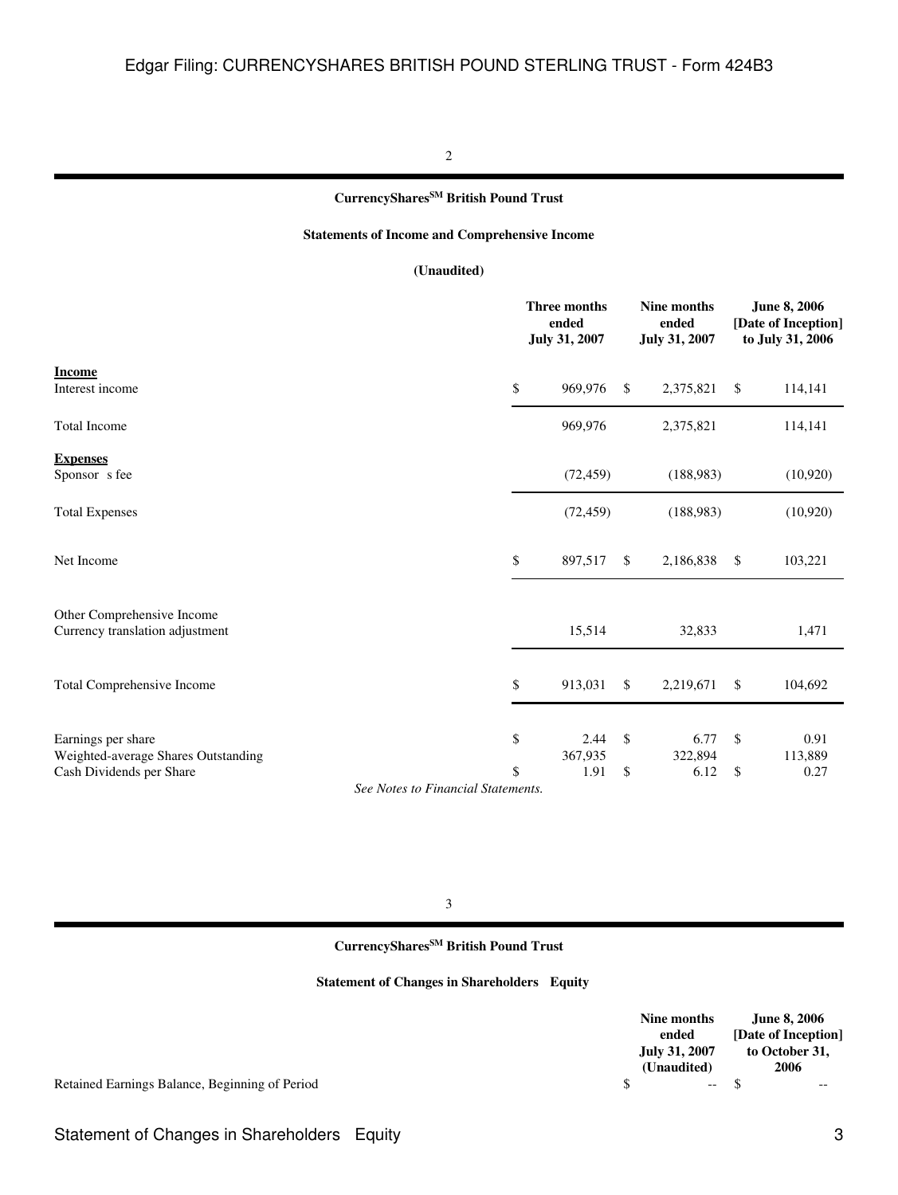#### 2

## **CurrencySharesSM British Pound Trust**

## **Statements of Income and Comprehensive Income**

## **(Unaudited)**

| ended                 |                                              | Nine months<br>ended<br>July 31, 2007 |               | <b>June 8, 2006</b><br>[Date of Inception]<br>to July 31, 2006 |
|-----------------------|----------------------------------------------|---------------------------------------|---------------|----------------------------------------------------------------|
| \$<br>969,976         | \$                                           | 2,375,821                             | \$            | 114,141                                                        |
| 969,976               |                                              | 2,375,821                             |               | 114,141                                                        |
| (72, 459)             |                                              | (188,983)                             |               | (10,920)                                                       |
| (72, 459)             |                                              | (188,983)                             |               | (10,920)                                                       |
| \$<br>897,517         | $\mathbb{S}$                                 | 2,186,838                             | <sup>\$</sup> | 103,221                                                        |
| 15,514                |                                              | 32,833                                |               | 1,471                                                          |
| \$<br>913,031         | $\mathbb{S}$                                 | 2,219,671                             | <sup>\$</sup> | 104,692                                                        |
| \$<br>2.44<br>367,935 | \$                                           | 6.77<br>322,894                       | $\mathbb{S}$  | 0.91<br>113,889<br>0.27                                        |
| \$                    | <b>Three months</b><br>July 31, 2007<br>1.91 | \$                                    | 6.12          | $\mathcal{S}$                                                  |

*See Notes to Financial Statements.*

3

## **CurrencySharesSM British Pound Trust**

**Statement of Changes in Shareholders Equity**

|   | Nine months          | <b>June 8, 2006</b> |
|---|----------------------|---------------------|
|   | ended                | [Date of Inception] |
|   | <b>July 31, 2007</b> | to October 31,      |
|   | (Unaudited)          | 2006                |
| S |                      | --                  |

Retained Earnings Balance, Beginning of Period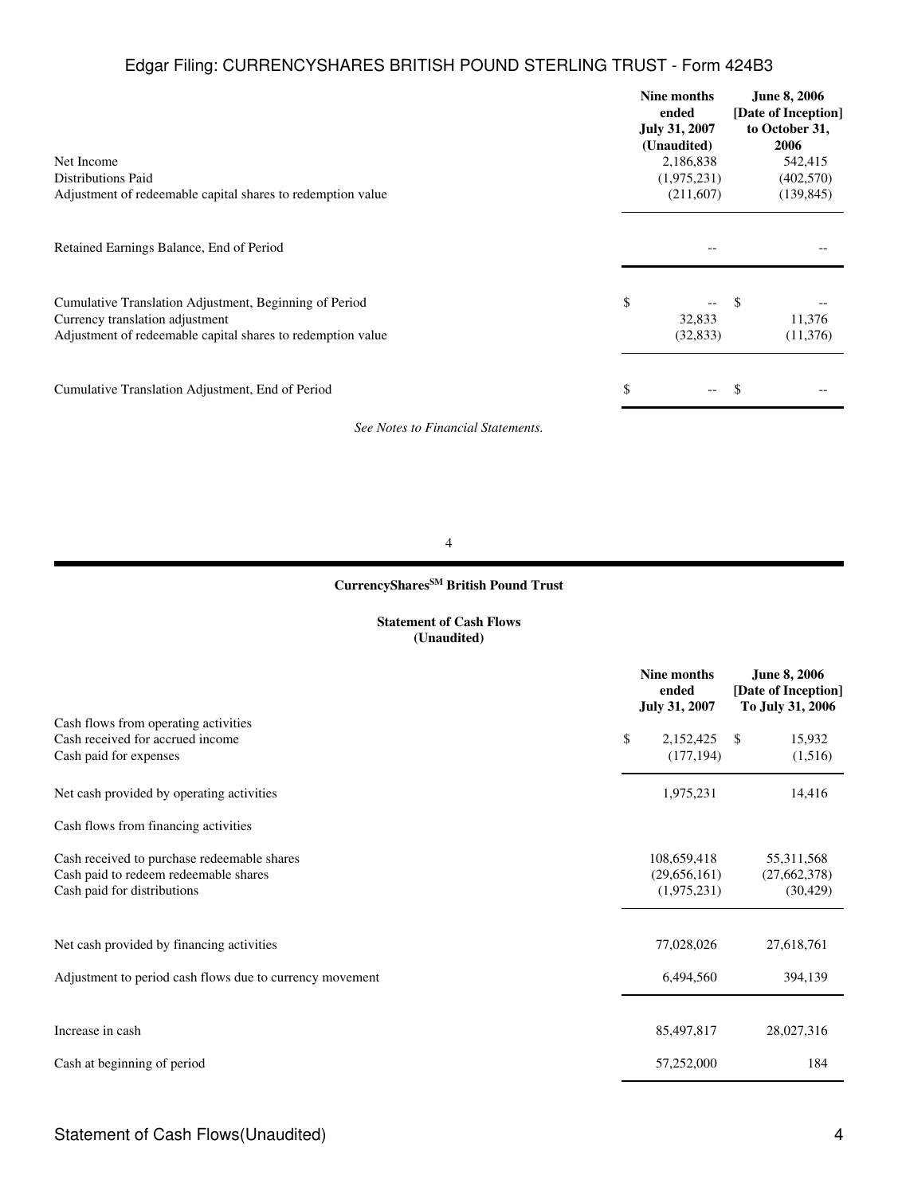| Net Income<br><b>Distributions Paid</b><br>Adjustment of redeemable capital shares to redemption value                                                   | Nine months<br>ended<br><b>July 31, 2007</b><br>(Unaudited)<br>2,186,838<br>(1,975,231)<br>(211,607) | <b>June 8, 2006</b><br>[Date of Inception]<br>to October 31,<br>2006<br>542,415<br>(402, 570)<br>(139, 845) |
|----------------------------------------------------------------------------------------------------------------------------------------------------------|------------------------------------------------------------------------------------------------------|-------------------------------------------------------------------------------------------------------------|
| Retained Earnings Balance, End of Period                                                                                                                 |                                                                                                      |                                                                                                             |
| Cumulative Translation Adjustment, Beginning of Period<br>Currency translation adjustment<br>Adjustment of redeemable capital shares to redemption value | \$<br>--<br>32,833<br>(32, 833)                                                                      | 11,376<br>(11,376)                                                                                          |
| Cumulative Translation Adjustment, End of Period                                                                                                         | \$<br>——                                                                                             |                                                                                                             |

*See Notes to Financial Statements.*

4

## **CurrencySharesSM British Pound Trust**

## **Statement of Cash Flows (Unaudited)**

|                                                          | Nine months<br>ended<br><b>July 31, 2007</b> |    | <b>June 8, 2006</b><br>[Date of Inception]<br>To July 31, 2006 |
|----------------------------------------------------------|----------------------------------------------|----|----------------------------------------------------------------|
| Cash flows from operating activities                     |                                              |    |                                                                |
| Cash received for accrued income                         | \$<br>2,152,425                              | -S | 15,932                                                         |
| Cash paid for expenses                                   | (177, 194)                                   |    | (1,516)                                                        |
| Net cash provided by operating activities                | 1,975,231                                    |    | 14,416                                                         |
| Cash flows from financing activities                     |                                              |    |                                                                |
| Cash received to purchase redeemable shares              | 108,659,418                                  |    | 55,311,568                                                     |
| Cash paid to redeem redeemable shares                    | (29,656,161)                                 |    | (27, 662, 378)                                                 |
| Cash paid for distributions                              | (1,975,231)                                  |    | (30, 429)                                                      |
|                                                          |                                              |    |                                                                |
| Net cash provided by financing activities                | 77,028,026                                   |    | 27,618,761                                                     |
| Adjustment to period cash flows due to currency movement | 6,494,560                                    |    | 394,139                                                        |
|                                                          |                                              |    |                                                                |
| Increase in cash                                         | 85,497,817                                   |    | 28,027,316                                                     |
| Cash at beginning of period                              | 57,252,000                                   |    | 184                                                            |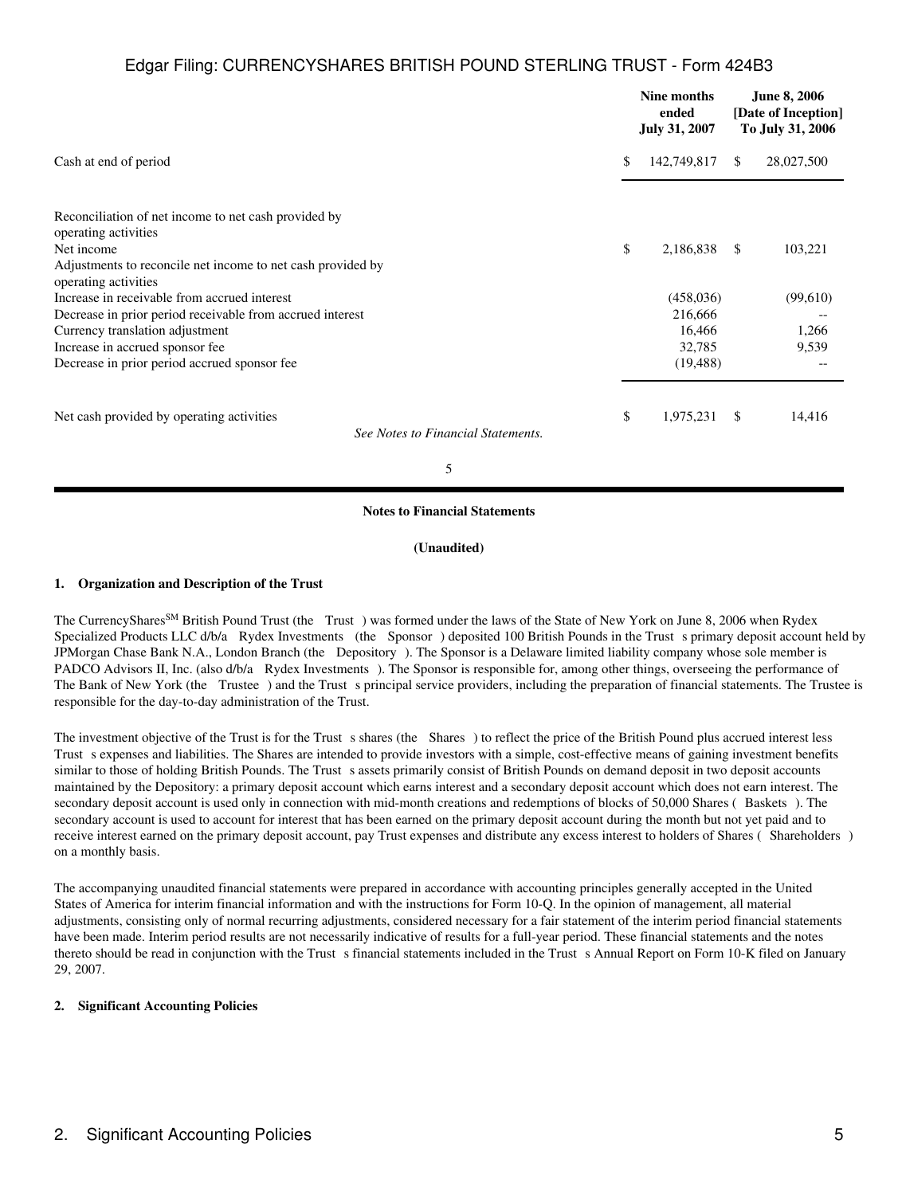|                                                                                     | Nine months<br>ended<br><b>July 31, 2007</b> |               | <b>June 8, 2006</b><br>[Date of Inception]<br>To July 31, 2006 |
|-------------------------------------------------------------------------------------|----------------------------------------------|---------------|----------------------------------------------------------------|
| Cash at end of period                                                               | \$<br>142,749,817                            | <sup>\$</sup> | 28,027,500                                                     |
| Reconciliation of net income to net cash provided by                                |                                              |               |                                                                |
| operating activities<br>Net income                                                  | \$<br>2,186,838                              | -S            | 103,221                                                        |
| Adjustments to reconcile net income to net cash provided by<br>operating activities |                                              |               |                                                                |
| Increase in receivable from accrued interest                                        | (458, 036)                                   |               | (99,610)                                                       |
| Decrease in prior period receivable from accrued interest                           | 216,666                                      |               |                                                                |
| Currency translation adjustment                                                     | 16,466                                       |               | 1,266                                                          |
| Increase in accrued sponsor fee                                                     | 32,785                                       |               | 9,539                                                          |
| Decrease in prior period accrued sponsor fee                                        | (19, 488)                                    |               |                                                                |
| Net cash provided by operating activities<br>See Notes to Financial Statements.     | \$<br>1,975,231                              | -S            | 14,416                                                         |

5

#### **Notes to Financial Statements**

#### **(Unaudited)**

## **1. Organization and Description of the Trust**

The CurrencyShares<sup>SM</sup> British Pound Trust (the Trust) was formed under the laws of the State of New York on June 8, 2006 when Rydex Specialized Products LLC d/b/a Rydex Investments (the Sponsor) deposited 100 British Pounds in the Trust s primary deposit account held by JPMorgan Chase Bank N.A., London Branch (the Depository). The Sponsor is a Delaware limited liability company whose sole member is PADCO Advisors II, Inc. (also d/b/a Rydex Investments). The Sponsor is responsible for, among other things, overseeing the performance of The Bank of New York (the Trustee) and the Trust s principal service providers, including the preparation of financial statements. The Trustee is responsible for the day-to-day administration of the Trust.

The investment objective of the Trust is for the Trust s shares (the Shares) to reflect the price of the British Pound plus accrued interest less Trust s expenses and liabilities. The Shares are intended to provide investors with a simple, cost-effective means of gaining investment benefits similar to those of holding British Pounds. The Trust s assets primarily consist of British Pounds on demand deposit in two deposit accounts maintained by the Depository: a primary deposit account which earns interest and a secondary deposit account which does not earn interest. The secondary deposit account is used only in connection with mid-month creations and redemptions of blocks of 50,000 Shares (Baskets). The secondary account is used to account for interest that has been earned on the primary deposit account during the month but not yet paid and to receive interest earned on the primary deposit account, pay Trust expenses and distribute any excess interest to holders of Shares (Shareholders) on a monthly basis.

The accompanying unaudited financial statements were prepared in accordance with accounting principles generally accepted in the United States of America for interim financial information and with the instructions for Form 10-Q. In the opinion of management, all material adjustments, consisting only of normal recurring adjustments, considered necessary for a fair statement of the interim period financial statements have been made. Interim period results are not necessarily indicative of results for a full-year period. These financial statements and the notes thereto should be read in conjunction with the Trust s financial statements included in the Trust s Annual Report on Form 10-K filed on January 29, 2007.

## **2. Significant Accounting Policies**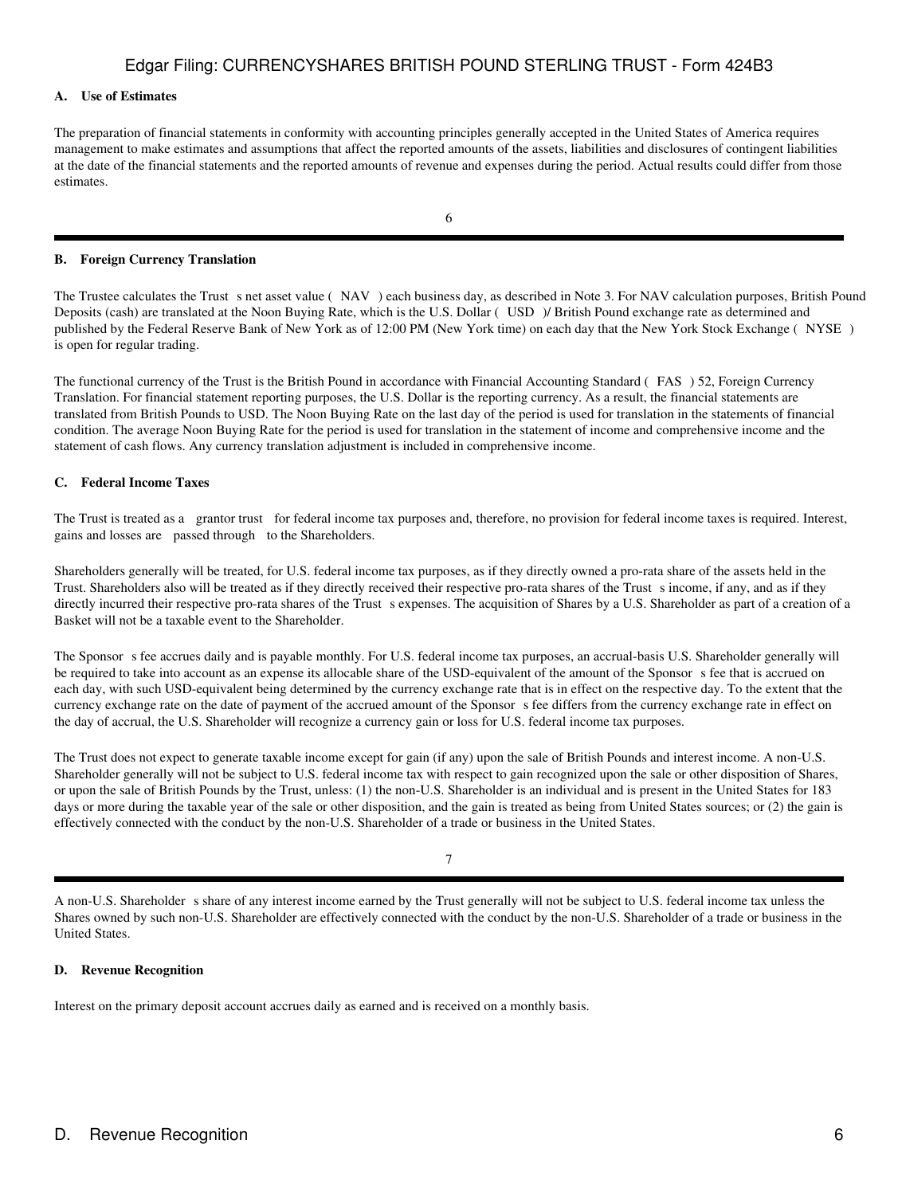## **A. Use of Estimates**

The preparation of financial statements in conformity with accounting principles generally accepted in the United States of America requires management to make estimates and assumptions that affect the reported amounts of the assets, liabilities and disclosures of contingent liabilities at the date of the financial statements and the reported amounts of revenue and expenses during the period. Actual results could differ from those estimates.

#### **B. Foreign Currency Translation**

The Trustee calculates the Trust s net asset value (NAV) each business day, as described in Note 3. For NAV calculation purposes, British Pound Deposits (cash) are translated at the Noon Buying Rate, which is the U.S. Dollar (USD)/ British Pound exchange rate as determined and published by the Federal Reserve Bank of New York as of 12:00 PM (New York time) on each day that the New York Stock Exchange (NYSE) is open for regular trading.

The functional currency of the Trust is the British Pound in accordance with Financial Accounting Standard (FAS) 52, Foreign Currency Translation. For financial statement reporting purposes, the U.S. Dollar is the reporting currency. As a result, the financial statements are translated from British Pounds to USD. The Noon Buying Rate on the last day of the period is used for translation in the statements of financial condition. The average Noon Buying Rate for the period is used for translation in the statement of income and comprehensive income and the statement of cash flows. Any currency translation adjustment is included in comprehensive income.

### **C. Federal Income Taxes**

The Trust is treated as a grantor trust for federal income tax purposes and, therefore, no provision for federal income taxes is required. Interest, gains and losses are passed through to the Shareholders.

Shareholders generally will be treated, for U.S. federal income tax purposes, as if they directly owned a pro-rata share of the assets held in the Trust. Shareholders also will be treated as if they directly received their respective pro-rata shares of the Trust s income, if any, and as if they directly incurred their respective pro-rata shares of the Trust s expenses. The acquisition of Shares by a U.S. Shareholder as part of a creation of a Basket will not be a taxable event to the Shareholder.

The Sponsor s fee accrues daily and is payable monthly. For U.S. federal income tax purposes, an accrual-basis U.S. Shareholder generally will be required to take into account as an expense its allocable share of the USD-equivalent of the amount of the Sponsor s fee that is accrued on each day, with such USD-equivalent being determined by the currency exchange rate that is in effect on the respective day. To the extent that the currency exchange rate on the date of payment of the accrued amount of the Sponsors fee differs from the currency exchange rate in effect on the day of accrual, the U.S. Shareholder will recognize a currency gain or loss for U.S. federal income tax purposes.

The Trust does not expect to generate taxable income except for gain (if any) upon the sale of British Pounds and interest income. A non-U.S. Shareholder generally will not be subject to U.S. federal income tax with respect to gain recognized upon the sale or other disposition of Shares, or upon the sale of British Pounds by the Trust, unless: (1) the non-U.S. Shareholder is an individual and is present in the United States for 183 days or more during the taxable year of the sale or other disposition, and the gain is treated as being from United States sources; or (2) the gain is effectively connected with the conduct by the non-U.S. Shareholder of a trade or business in the United States.

7

A non-U.S. Shareholder s share of any interest income earned by the Trust generally will not be subject to U.S. federal income tax unless the Shares owned by such non-U.S. Shareholder are effectively connected with the conduct by the non-U.S. Shareholder of a trade or business in the United States.

#### **D. Revenue Recognition**

Interest on the primary deposit account accrues daily as earned and is received on a monthly basis.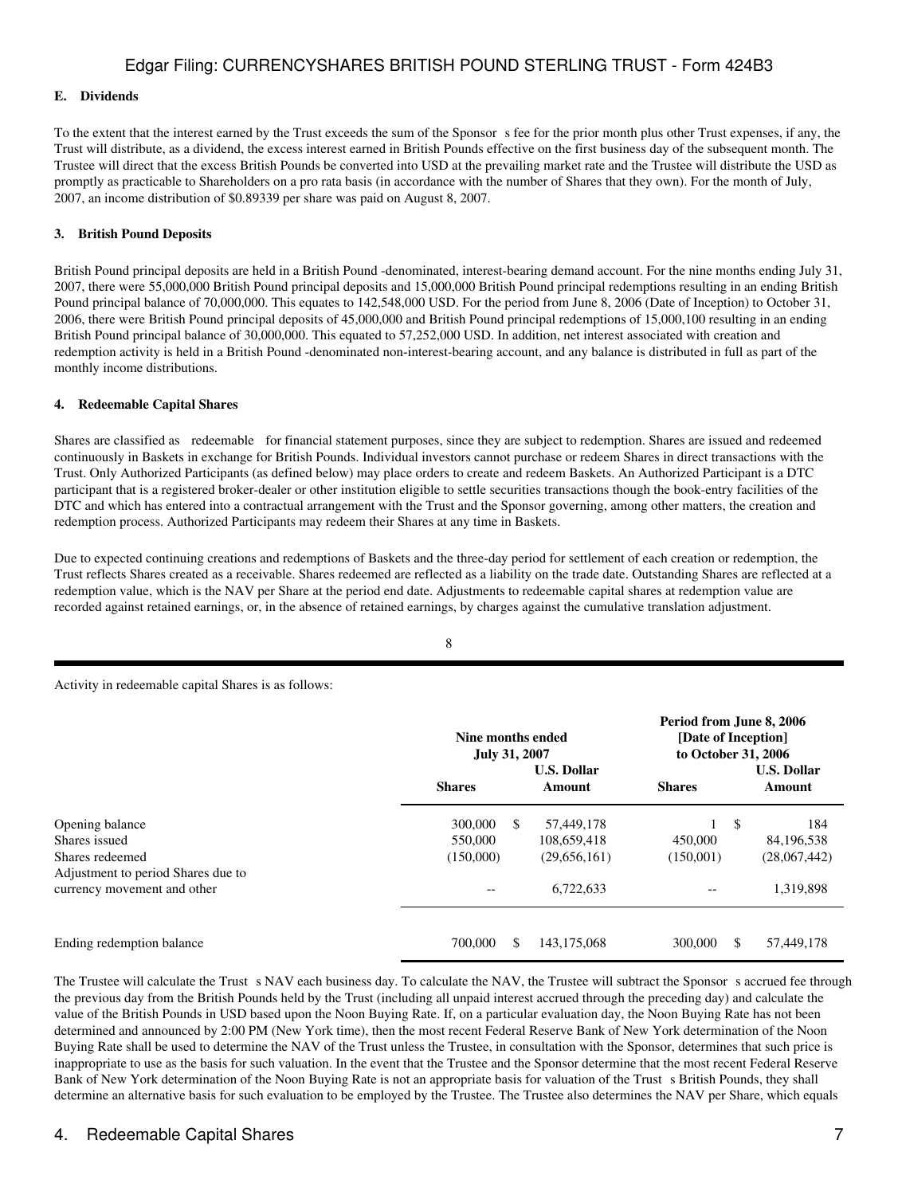## **E. Dividends**

To the extent that the interest earned by the Trust exceeds the sum of the Sponsor s fee for the prior month plus other Trust expenses, if any, the Trust will distribute, as a dividend, the excess interest earned in British Pounds effective on the first business day of the subsequent month. The Trustee will direct that the excess British Pounds be converted into USD at the prevailing market rate and the Trustee will distribute the USD as promptly as practicable to Shareholders on a pro rata basis (in accordance with the number of Shares that they own). For the month of July, 2007, an income distribution of \$0.89339 per share was paid on August 8, 2007.

## **3. British Pound Deposits**

British Pound principal deposits are held in a British Pound -denominated, interest-bearing demand account. For the nine months ending July 31, 2007, there were 55,000,000 British Pound principal deposits and 15,000,000 British Pound principal redemptions resulting in an ending British Pound principal balance of 70,000,000. This equates to 142,548,000 USD. For the period from June 8, 2006 (Date of Inception) to October 31, 2006, there were British Pound principal deposits of 45,000,000 and British Pound principal redemptions of 15,000,100 resulting in an ending British Pound principal balance of 30,000,000. This equated to 57,252,000 USD. In addition, net interest associated with creation and redemption activity is held in a British Pound -denominated non-interest-bearing account, and any balance is distributed in full as part of the monthly income distributions.

#### **4. Redeemable Capital Shares**

Shares are classified as redeemable for financial statement purposes, since they are subject to redemption. Shares are issued and redeemed continuously in Baskets in exchange for British Pounds. Individual investors cannot purchase or redeem Shares in direct transactions with the Trust. Only Authorized Participants (as defined below) may place orders to create and redeem Baskets. An Authorized Participant is a DTC participant that is a registered broker-dealer or other institution eligible to settle securities transactions though the book-entry facilities of the DTC and which has entered into a contractual arrangement with the Trust and the Sponsor governing, among other matters, the creation and redemption process. Authorized Participants may redeem their Shares at any time in Baskets.

Due to expected continuing creations and redemptions of Baskets and the three-day period for settlement of each creation or redemption, the Trust reflects Shares created as a receivable. Shares redeemed are reflected as a liability on the trade date. Outstanding Shares are reflected at a redemption value, which is the NAV per Share at the period end date. Adjustments to redeemable capital shares at redemption value are recorded against retained earnings, or, in the absence of retained earnings, by charges against the cumulative translation adjustment.

8

Activity in redeemable capital Shares is as follows:

|                                                       |                    | Nine months ended<br><b>July 31, 2007</b> |                           |           | Period from June 8, 2006<br>[Date of Inception]<br>to October 31, 2006 |                   |  |        |  |                                               |  |
|-------------------------------------------------------|--------------------|-------------------------------------------|---------------------------|-----------|------------------------------------------------------------------------|-------------------|--|--------|--|-----------------------------------------------|--|
|                                                       | <b>Shares</b>      | <b>U.S. Dollar</b>                        |                           |           |                                                                        |                   |  | Amount |  | <b>U.S. Dollar</b><br><b>Shares</b><br>Amount |  |
| Opening balance<br>Shares issued                      | 300,000<br>550,000 | -S                                        | 57,449,178<br>108,659,418 | 450,000   | \$                                                                     | 184<br>84,196,538 |  |        |  |                                               |  |
| Shares redeemed<br>Adjustment to period Shares due to | (150,000)          |                                           | (29,656,161)              | (150.001) |                                                                        | (28,067,442)      |  |        |  |                                               |  |
| currency movement and other                           | $-\,-$             |                                           | 6.722.633                 | --        |                                                                        | 1,319,898         |  |        |  |                                               |  |
| Ending redemption balance                             | 700,000            | \$                                        | 143, 175, 068             | 300,000   | \$                                                                     | 57,449,178        |  |        |  |                                               |  |

The Trustee will calculate the Trust s NAV each business day. To calculate the NAV, the Trustee will subtract the Sponsor s accrued fee through the previous day from the British Pounds held by the Trust (including all unpaid interest accrued through the preceding day) and calculate the value of the British Pounds in USD based upon the Noon Buying Rate. If, on a particular evaluation day, the Noon Buying Rate has not been determined and announced by 2:00 PM (New York time), then the most recent Federal Reserve Bank of New York determination of the Noon Buying Rate shall be used to determine the NAV of the Trust unless the Trustee, in consultation with the Sponsor, determines that such price is inappropriate to use as the basis for such valuation. In the event that the Trustee and the Sponsor determine that the most recent Federal Reserve Bank of New York determination of the Noon Buying Rate is not an appropriate basis for valuation of the Trust s British Pounds, they shall determine an alternative basis for such evaluation to be employed by the Trustee. The Trustee also determines the NAV per Share, which equals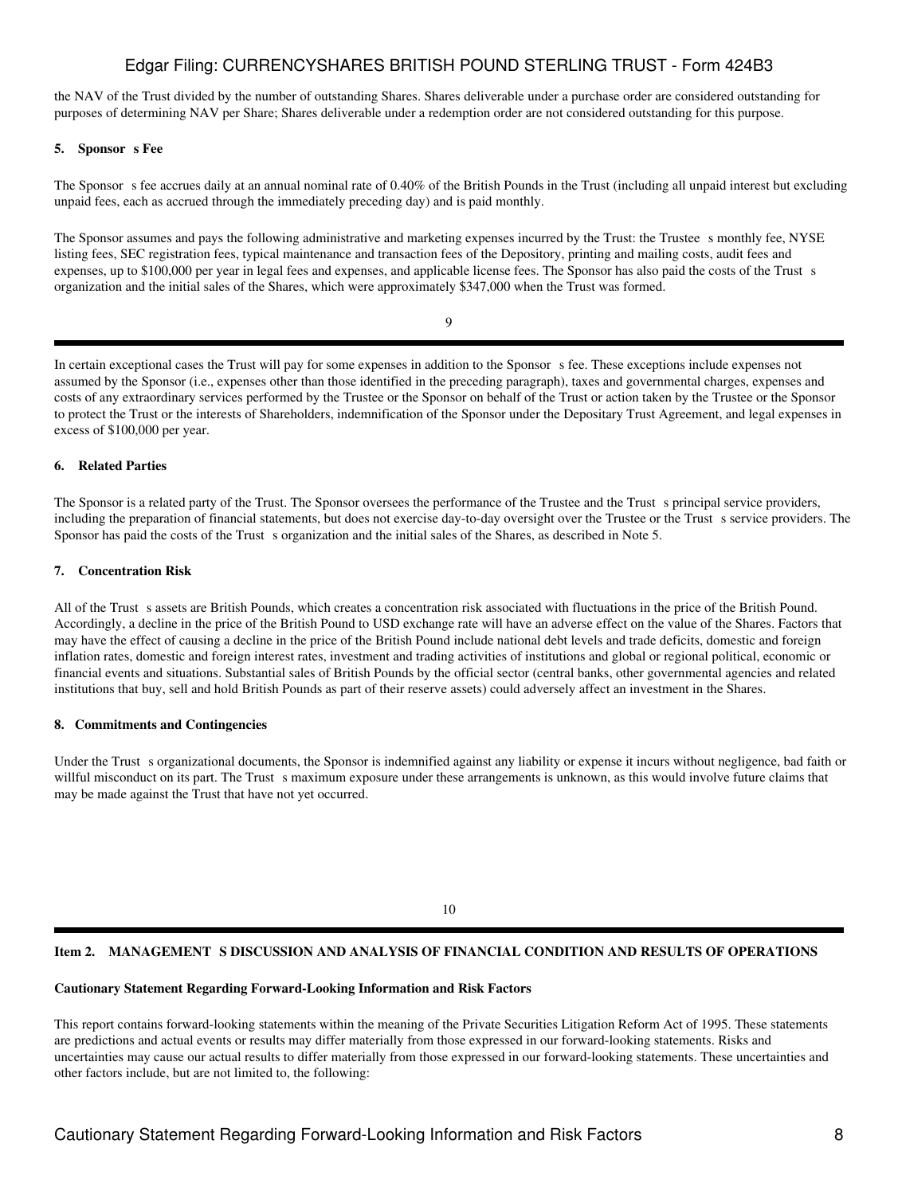the NAV of the Trust divided by the number of outstanding Shares. Shares deliverable under a purchase order are considered outstanding for purposes of determining NAV per Share; Shares deliverable under a redemption order are not considered outstanding for this purpose.

### 5. Sponsor **s** Fee

The Sponsor s fee accrues daily at an annual nominal rate of 0.40% of the British Pounds in the Trust (including all unpaid interest but excluding unpaid fees, each as accrued through the immediately preceding day) and is paid monthly.

The Sponsor assumes and pays the following administrative and marketing expenses incurred by the Trust: the Trustee s monthly fee, NYSE listing fees, SEC registration fees, typical maintenance and transaction fees of the Depository, printing and mailing costs, audit fees and expenses, up to \$100,000 per year in legal fees and expenses, and applicable license fees. The Sponsor has also paid the costs of the Trust s organization and the initial sales of the Shares, which were approximately \$347,000 when the Trust was formed.

9

In certain exceptional cases the Trust will pay for some expenses in addition to the Sponsor s fee. These exceptions include expenses not assumed by the Sponsor (i.e., expenses other than those identified in the preceding paragraph), taxes and governmental charges, expenses and costs of any extraordinary services performed by the Trustee or the Sponsor on behalf of the Trust or action taken by the Trustee or the Sponsor to protect the Trust or the interests of Shareholders, indemnification of the Sponsor under the Depositary Trust Agreement, and legal expenses in excess of \$100,000 per year.

## **6. Related Parties**

The Sponsor is a related party of the Trust. The Sponsor oversees the performance of the Trustee and the Trust s principal service providers, including the preparation of financial statements, but does not exercise day-to-day oversight over the Trustee or the Trust s service providers. The Sponsor has paid the costs of the Trust s organization and the initial sales of the Shares, as described in Note 5.

## **7. Concentration Risk**

All of the Trust s assets are British Pounds, which creates a concentration risk associated with fluctuations in the price of the British Pound. Accordingly, a decline in the price of the British Pound to USD exchange rate will have an adverse effect on the value of the Shares. Factors that may have the effect of causing a decline in the price of the British Pound include national debt levels and trade deficits, domestic and foreign inflation rates, domestic and foreign interest rates, investment and trading activities of institutions and global or regional political, economic or financial events and situations. Substantial sales of British Pounds by the official sector (central banks, other governmental agencies and related institutions that buy, sell and hold British Pounds as part of their reserve assets) could adversely affect an investment in the Shares.

#### **8. Commitments and Contingencies**

Under the Trust s organizational documents, the Sponsor is indemnified against any liability or expense it incurs without negligence, bad faith or willful misconduct on its part. The Trust s maximum exposure under these arrangements is unknown, as this would involve future claims that may be made against the Trust that have not yet occurred.

10

## Item 2. MANAGEMENT S DISCUSSION AND ANALYSIS OF FINANCIAL CONDITION AND RESULTS OF OPERATIONS

### **Cautionary Statement Regarding Forward-Looking Information and Risk Factors**

This report contains forward-looking statements within the meaning of the Private Securities Litigation Reform Act of 1995. These statements are predictions and actual events or results may differ materially from those expressed in our forward-looking statements. Risks and uncertainties may cause our actual results to differ materially from those expressed in our forward-looking statements. These uncertainties and other factors include, but are not limited to, the following: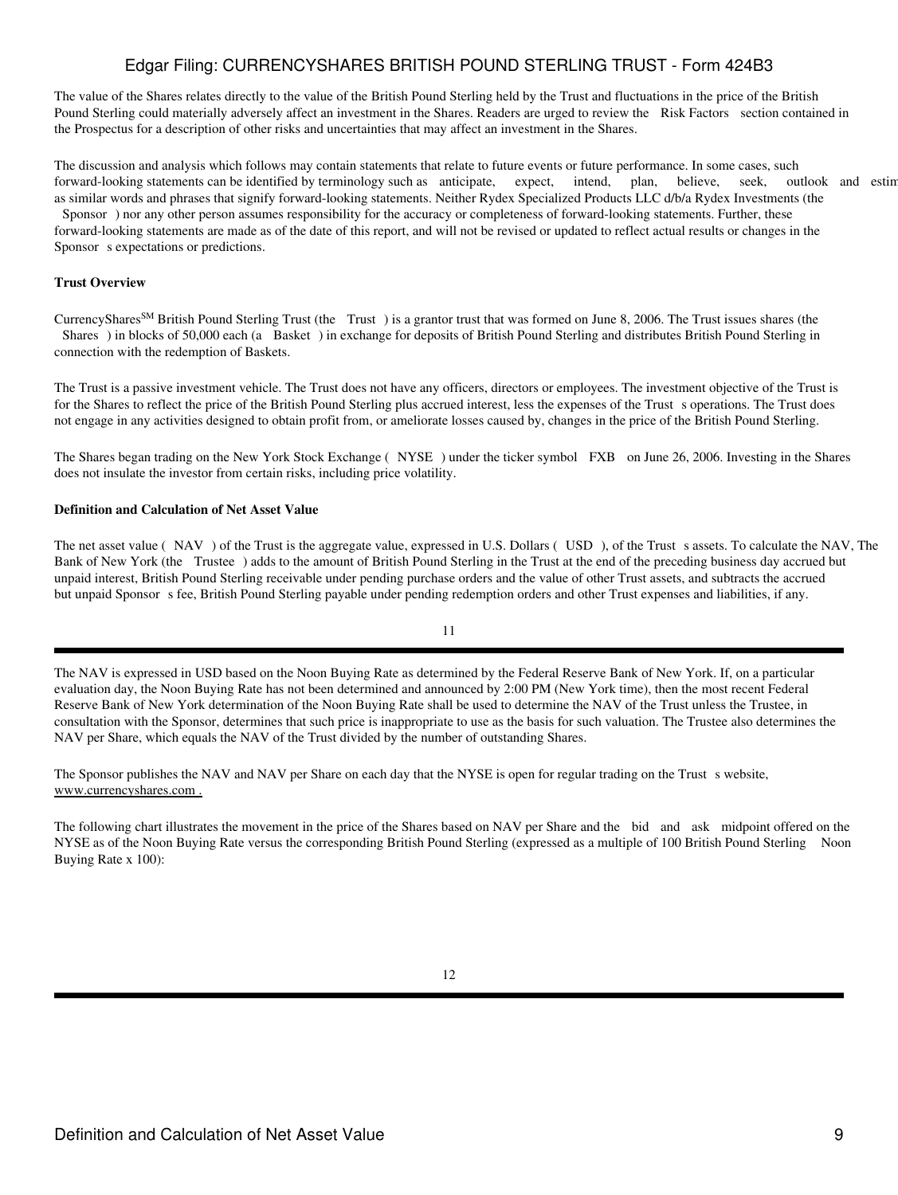The value of the Shares relates directly to the value of the British Pound Sterling held by the Trust and fluctuations in the price of the British Pound Sterling could materially adversely affect an investment in the Shares. Readers are urged to review the Risk Factors section contained in the Prospectus for a description of other risks and uncertainties that may affect an investment in the Shares.

The discussion and analysis which follows may contain statements that relate to future events or future performance. In some cases, such forward-looking statements can be identified by terminology such as anticipate, expect, intend, plan, believe, seek, outlook and estim as similar words and phrases that signify forward-looking statements. Neither Rydex Specialized Products LLC d/b/a Rydex Investments (the Sponsor) nor any other person assumes responsibility for the accuracy or completeness of forward-looking statements. Further, these

forward-looking statements are made as of the date of this report, and will not be revised or updated to reflect actual results or changes in the Sponsor s expectations or predictions.

## **Trust Overview**

CurrencySharesSM British Pound Sterling Trust (the Trust) is a grantor trust that was formed on June 8, 2006. The Trust issues shares (the Shares) in blocks of 50,000 each (a Basket) in exchange for deposits of British Pound Sterling and distributes British Pound Sterling in connection with the redemption of Baskets.

The Trust is a passive investment vehicle. The Trust does not have any officers, directors or employees. The investment objective of the Trust is for the Shares to reflect the price of the British Pound Sterling plus accrued interest, less the expenses of the Trust s operations. The Trust does not engage in any activities designed to obtain profit from, or ameliorate losses caused by, changes in the price of the British Pound Sterling.

The Shares began trading on the New York Stock Exchange (NYSE) under the ticker symbol FXB on June 26, 2006. Investing in the Shares does not insulate the investor from certain risks, including price volatility.

#### **Definition and Calculation of Net Asset Value**

The net asset value (NAV) of the Trust is the aggregate value, expressed in U.S. Dollars (USD), of the Trust s assets. To calculate the NAV, The Bank of New York (the Trustee) adds to the amount of British Pound Sterling in the Trust at the end of the preceding business day accrued but unpaid interest, British Pound Sterling receivable under pending purchase orders and the value of other Trust assets, and subtracts the accrued but unpaid Sponsor s fee, British Pound Sterling payable under pending redemption orders and other Trust expenses and liabilities, if any.

## 11

The NAV is expressed in USD based on the Noon Buying Rate as determined by the Federal Reserve Bank of New York. If, on a particular evaluation day, the Noon Buying Rate has not been determined and announced by 2:00 PM (New York time), then the most recent Federal Reserve Bank of New York determination of the Noon Buying Rate shall be used to determine the NAV of the Trust unless the Trustee, in consultation with the Sponsor, determines that such price is inappropriate to use as the basis for such valuation. The Trustee also determines the NAV per Share, which equals the NAV of the Trust divided by the number of outstanding Shares.

The Sponsor publishes the NAV and NAV per Share on each day that the NYSE is open for regular trading on the Trust s website, www.currencyshares.com .

The following chart illustrates the movement in the price of the Shares based on NAV per Share and the bid and ask midpoint offered on the NYSE as of the Noon Buying Rate versus the corresponding British Pound Sterling (expressed as a multiple of 100 British Pound Sterling Noon Buying Rate x 100):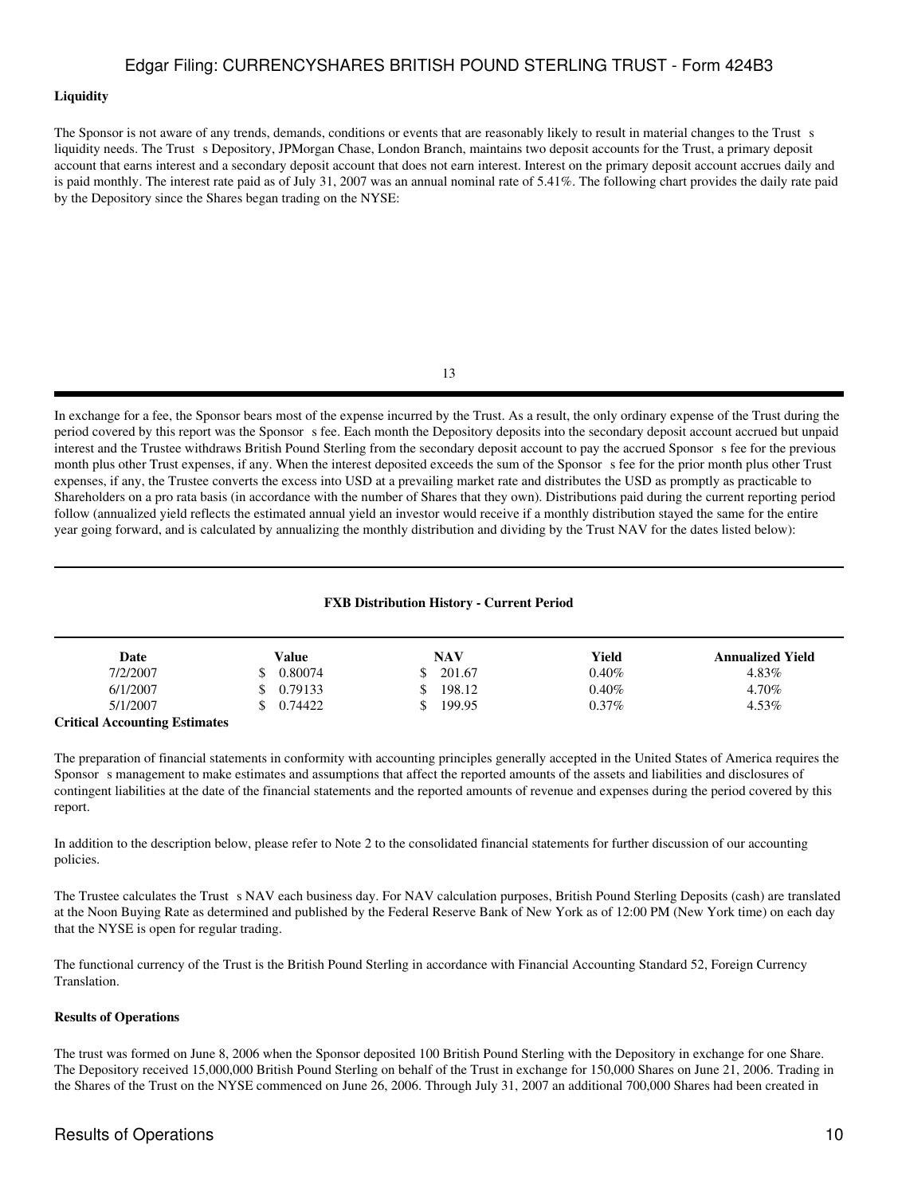#### **Liquidity**

The Sponsor is not aware of any trends, demands, conditions or events that are reasonably likely to result in material changes to the Trust s liquidity needs. The Trust s Depository, JPMorgan Chase, London Branch, maintains two deposit accounts for the Trust, a primary deposit account that earns interest and a secondary deposit account that does not earn interest. Interest on the primary deposit account accrues daily and is paid monthly. The interest rate paid as of July 31, 2007 was an annual nominal rate of 5.41%. The following chart provides the daily rate paid by the Depository since the Shares began trading on the NYSE:

13

In exchange for a fee, the Sponsor bears most of the expense incurred by the Trust. As a result, the only ordinary expense of the Trust during the period covered by this report was the Sponsor s fee. Each month the Depository deposits into the secondary deposit account accrued but unpaid interest and the Trustee withdraws British Pound Sterling from the secondary deposit account to pay the accrued Sponsors fee for the previous month plus other Trust expenses, if any. When the interest deposited exceeds the sum of the Sponsors fee for the prior month plus other Trust expenses, if any, the Trustee converts the excess into USD at a prevailing market rate and distributes the USD as promptly as practicable to Shareholders on a pro rata basis (in accordance with the number of Shares that they own). Distributions paid during the current reporting period follow (annualized yield reflects the estimated annual yield an investor would receive if a monthly distribution stayed the same for the entire year going forward, and is calculated by annualizing the monthly distribution and dividing by the Trust NAV for the dates listed below):

### **FXB Distribution History - Current Period**

| Date                                                                      | Value   | <b>NAV</b> | Yield    | <b>Annualized Yield</b> |
|---------------------------------------------------------------------------|---------|------------|----------|-------------------------|
| 7/2/2007                                                                  | 0.80074 | 201.67     | $0.40\%$ | 4.83%                   |
| 6/1/2007                                                                  | 0.79133 | 198.12     | $0.40\%$ | 4.70%                   |
| 5/1/2007                                                                  | 0.74422 | 199.95     | $0.37\%$ | 4.53%                   |
| $C_1$ and $C_2$ is a set of $C_3$ is the set of $C_4$ is the set of $C_4$ |         |            |          |                         |

**Critical Accounting Estimates**

The preparation of financial statements in conformity with accounting principles generally accepted in the United States of America requires the Sponsor s management to make estimates and assumptions that affect the reported amounts of the assets and liabilities and disclosures of contingent liabilities at the date of the financial statements and the reported amounts of revenue and expenses during the period covered by this report.

In addition to the description below, please refer to Note 2 to the consolidated financial statements for further discussion of our accounting policies.

The Trustee calculates the Trust s NAV each business day. For NAV calculation purposes, British Pound Sterling Deposits (cash) are translated at the Noon Buying Rate as determined and published by the Federal Reserve Bank of New York as of 12:00 PM (New York time) on each day that the NYSE is open for regular trading.

The functional currency of the Trust is the British Pound Sterling in accordance with Financial Accounting Standard 52, Foreign Currency Translation.

#### **Results of Operations**

The trust was formed on June 8, 2006 when the Sponsor deposited 100 British Pound Sterling with the Depository in exchange for one Share. The Depository received 15,000,000 British Pound Sterling on behalf of the Trust in exchange for 150,000 Shares on June 21, 2006. Trading in the Shares of the Trust on the NYSE commenced on June 26, 2006. Through July 31, 2007 an additional 700,000 Shares had been created in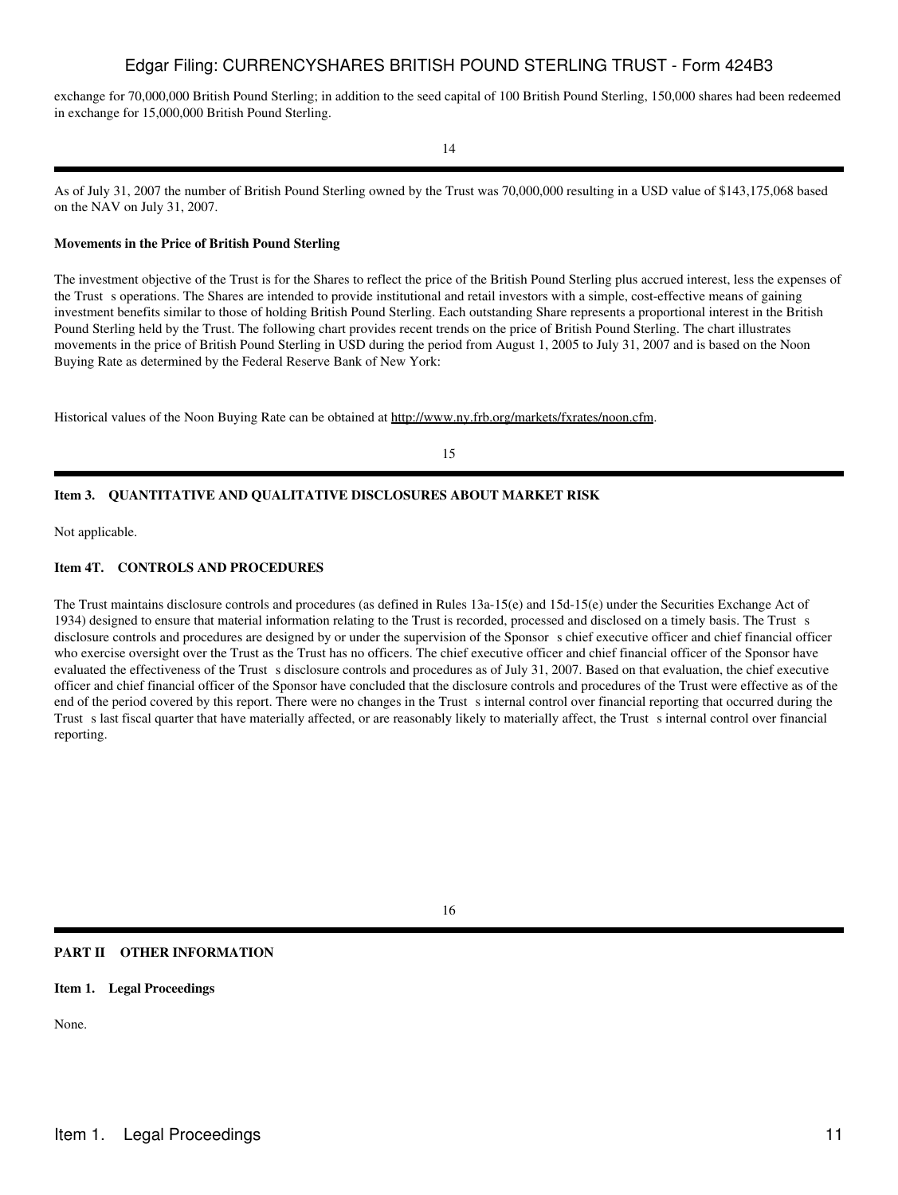exchange for 70,000,000 British Pound Sterling; in addition to the seed capital of 100 British Pound Sterling, 150,000 shares had been redeemed in exchange for 15,000,000 British Pound Sterling.

14

As of July 31, 2007 the number of British Pound Sterling owned by the Trust was 70,000,000 resulting in a USD value of \$143,175,068 based on the NAV on July 31, 2007.

#### **Movements in the Price of British Pound Sterling**

The investment objective of the Trust is for the Shares to reflect the price of the British Pound Sterling plus accrued interest, less the expenses of the Trust s operations. The Shares are intended to provide institutional and retail investors with a simple, cost-effective means of gaining investment benefits similar to those of holding British Pound Sterling. Each outstanding Share represents a proportional interest in the British Pound Sterling held by the Trust. The following chart provides recent trends on the price of British Pound Sterling. The chart illustrates movements in the price of British Pound Sterling in USD during the period from August 1, 2005 to July 31, 2007 and is based on the Noon Buying Rate as determined by the Federal Reserve Bank of New York:

Historical values of the Noon Buying Rate can be obtained at http://www.ny.frb.org/markets/fxrates/noon.cfm.

15

## **Item 3. QUANTITATIVE AND QUALITATIVE DISCLOSURES ABOUT MARKET RISK**

Not applicable.

## **Item 4T. CONTROLS AND PROCEDURES**

The Trust maintains disclosure controls and procedures (as defined in Rules 13a-15(e) and 15d-15(e) under the Securities Exchange Act of 1934) designed to ensure that material information relating to the Trust is recorded, processed and disclosed on a timely basis. The Trust s disclosure controls and procedures are designed by or under the supervision of the Sponsor s chief executive officer and chief financial officer who exercise oversight over the Trust as the Trust has no officers. The chief executive officer and chief financial officer of the Sponsor have evaluated the effectiveness of the Trust s disclosure controls and procedures as of July 31, 2007. Based on that evaluation, the chief executive officer and chief financial officer of the Sponsor have concluded that the disclosure controls and procedures of the Trust were effective as of the end of the period covered by this report. There were no changes in the Trust sinternal control over financial reporting that occurred during the Trust s last fiscal quarter that have materially affected, or are reasonably likely to materially affect, the Trust s internal control over financial reporting.

16

### **PART II OTHER INFORMATION**

## **Item 1. Legal Proceedings**

None.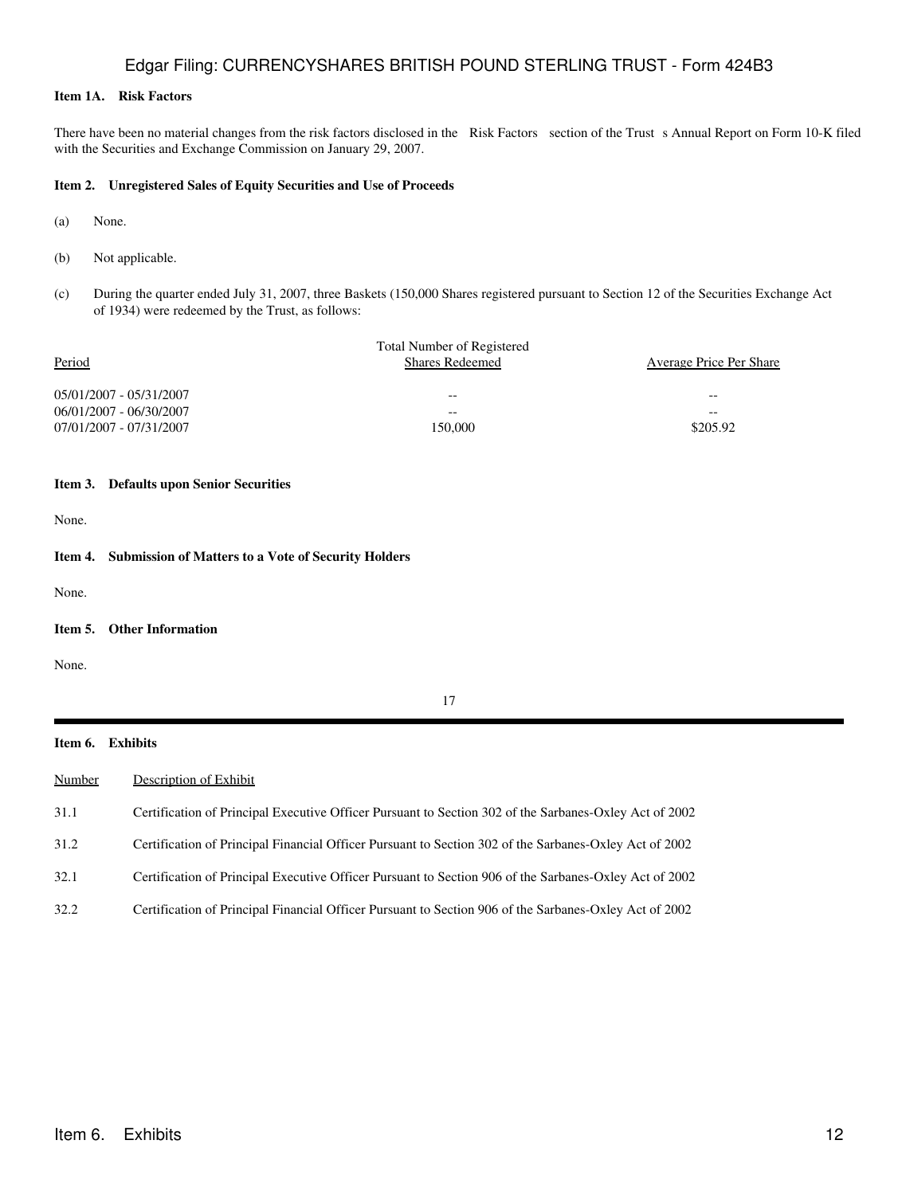## **Item 1A. Risk Factors**

There have been no material changes from the risk factors disclosed in the Risk Factors section of the Trust s Annual Report on Form 10-K filed with the Securities and Exchange Commission on January 29, 2007.

### **Item 2. Unregistered Sales of Equity Securities and Use of Proceeds**

- (a) None.
- (b) Not applicable.
- (c) During the quarter ended July 31, 2007, three Baskets (150,000 Shares registered pursuant to Section 12 of the Securities Exchange Act of 1934) were redeemed by the Trust, as follows:

| Period                  | <b>Total Number of Registered</b><br><b>Shares Redeemed</b> | <b>Average Price Per Share</b> |
|-------------------------|-------------------------------------------------------------|--------------------------------|
| 05/01/2007 - 05/31/2007 | $- -$                                                       | --                             |
| 06/01/2007 - 06/30/2007 | $- -$                                                       | --                             |
| 07/01/2007 - 07/31/2007 | 150,000                                                     | \$205.92                       |
|                         |                                                             |                                |

#### **Item 3. Defaults upon Senior Securities**

None.

## **Item 4. Submission of Matters to a Vote of Security Holders**

None.

#### **Item 5. Other Information**

None.

|  | ۰. |
|--|----|
|  |    |

### **Item 6. Exhibits**

| Number | Description of Exhibit                                                                                 |
|--------|--------------------------------------------------------------------------------------------------------|
| 31.1   | Certification of Principal Executive Officer Pursuant to Section 302 of the Sarbanes-Oxley Act of 2002 |
| 31.2   | Certification of Principal Financial Officer Pursuant to Section 302 of the Sarbanes-Oxley Act of 2002 |
| 32.1   | Certification of Principal Executive Officer Pursuant to Section 906 of the Sarbanes-Oxley Act of 2002 |
| 32.2   | Certification of Principal Financial Officer Pursuant to Section 906 of the Sarbanes-Oxley Act of 2002 |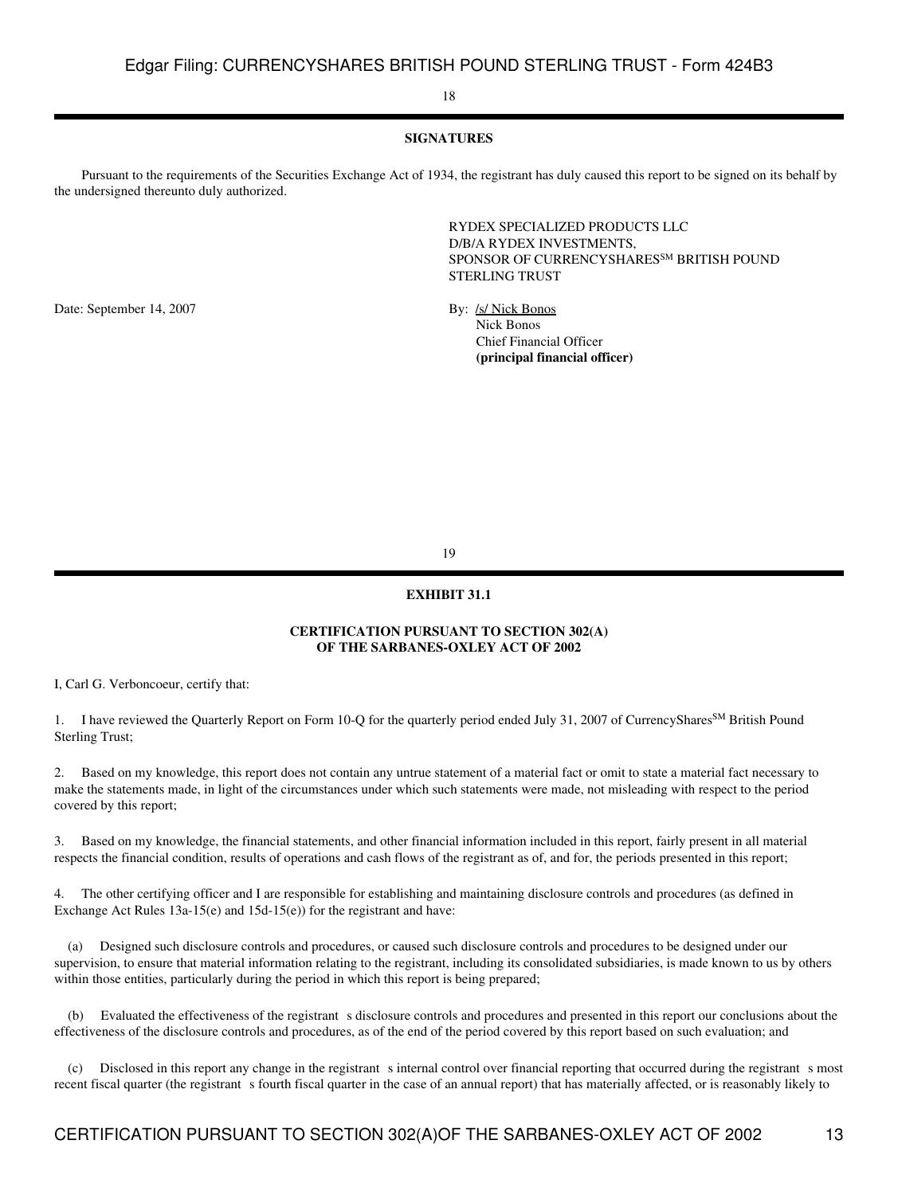### 18

## **SIGNATURES**

 Pursuant to the requirements of the Securities Exchange Act of 1934, the registrant has duly caused this report to be signed on its behalf by the undersigned thereunto duly authorized.

> RYDEX SPECIALIZED PRODUCTS LLC D/B/A RYDEX INVESTMENTS, SPONSOR OF CURRENCYSHARES<sup>SM</sup> BRITISH POUND STERLING TRUST

Date: September 14, 2007 By: /s/ Nick Bonos

 Nick Bonos Chief Financial Officer **(principal financial officer)**

19

#### **EXHIBIT 31.1**

## **CERTIFICATION PURSUANT TO SECTION 302(A) OF THE SARBANES-OXLEY ACT OF 2002**

I, Carl G. Verboncoeur, certify that:

I have reviewed the Quarterly Report on Form 10-Q for the quarterly period ended July 31, 2007 of CurrencyShares<sup>SM</sup> British Pound Sterling Trust;

2. Based on my knowledge, this report does not contain any untrue statement of a material fact or omit to state a material fact necessary to make the statements made, in light of the circumstances under which such statements were made, not misleading with respect to the period covered by this report;

3. Based on my knowledge, the financial statements, and other financial information included in this report, fairly present in all material respects the financial condition, results of operations and cash flows of the registrant as of, and for, the periods presented in this report;

4. The other certifying officer and I are responsible for establishing and maintaining disclosure controls and procedures (as defined in Exchange Act Rules 13a-15(e) and 15d-15(e)) for the registrant and have:

 (a) Designed such disclosure controls and procedures, or caused such disclosure controls and procedures to be designed under our supervision, to ensure that material information relating to the registrant, including its consolidated subsidiaries, is made known to us by others within those entities, particularly during the period in which this report is being prepared;

Evaluated the effectiveness of the registrant s disclosure controls and procedures and presented in this report our conclusions about the effectiveness of the disclosure controls and procedures, as of the end of the period covered by this report based on such evaluation; and

(c) Disclosed in this report any change in the registrant s internal control over financial reporting that occurred during the registrant s most recent fiscal quarter (the registrant s fourth fiscal quarter in the case of an annual report) that has materially affected, or is reasonably likely to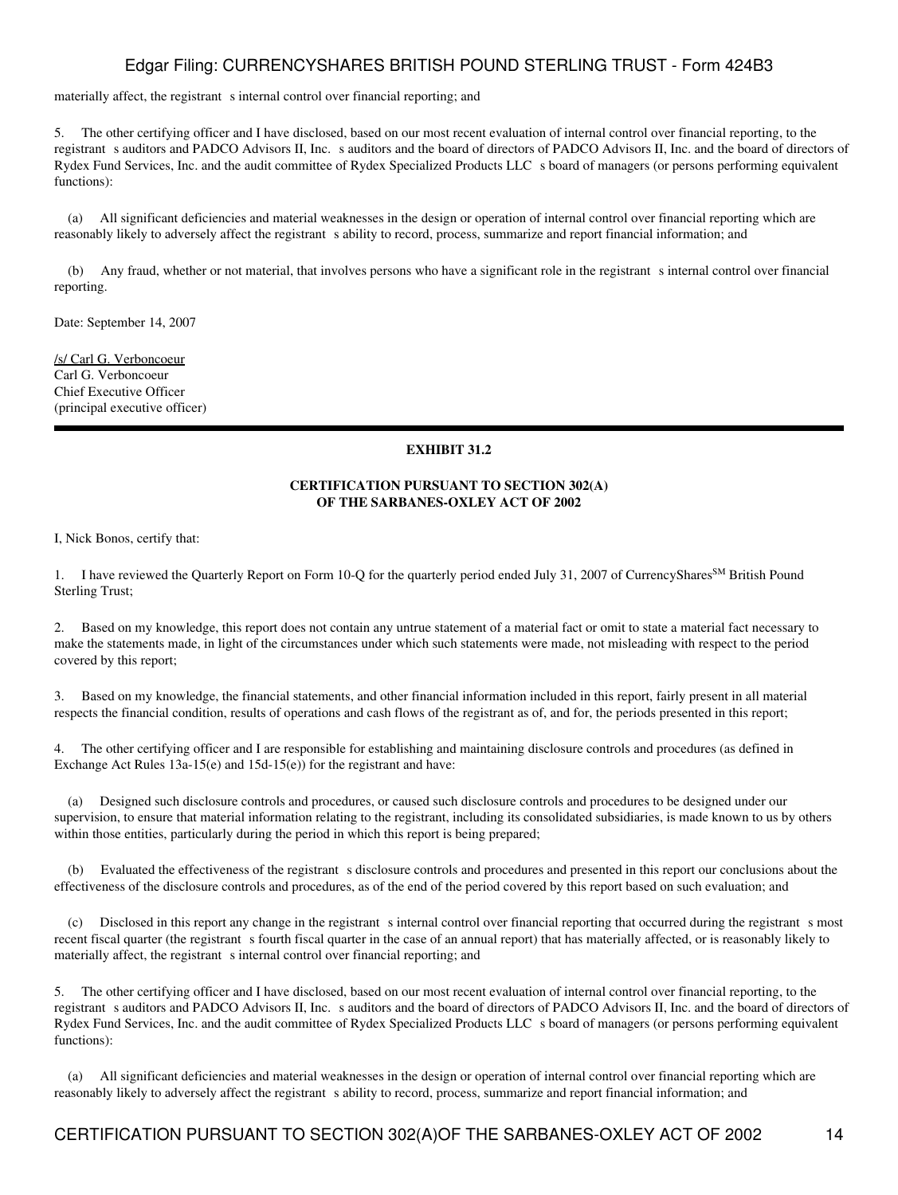materially affect, the registrant s internal control over financial reporting; and

5. The other certifying officer and I have disclosed, based on our most recent evaluation of internal control over financial reporting, to the registrant s auditors and PADCO Advisors II, Inc. s auditors and the board of directors of PADCO Advisors II, Inc. and the board of directors of Rydex Fund Services, Inc. and the audit committee of Rydex Specialized Products LLC s board of managers (or persons performing equivalent functions):

 (a) All significant deficiencies and material weaknesses in the design or operation of internal control over financial reporting which are reasonably likely to adversely affect the registrant s ability to record, process, summarize and report financial information; and

 (b) Any fraud, whether or not material, that involves persons who have a significant role in the registrants internal control over financial reporting.

Date: September 14, 2007

/s/ Carl G. Verboncoeur Carl G. Verboncoeur Chief Executive Officer (principal executive officer)

## **EXHIBIT 31.2**

## **CERTIFICATION PURSUANT TO SECTION 302(A) OF THE SARBANES-OXLEY ACT OF 2002**

I, Nick Bonos, certify that:

1. I have reviewed the Quarterly Report on Form 10-Q for the quarterly period ended July 31, 2007 of CurrencyShares<sup>SM</sup> British Pound Sterling Trust;

2. Based on my knowledge, this report does not contain any untrue statement of a material fact or omit to state a material fact necessary to make the statements made, in light of the circumstances under which such statements were made, not misleading with respect to the period covered by this report;

3. Based on my knowledge, the financial statements, and other financial information included in this report, fairly present in all material respects the financial condition, results of operations and cash flows of the registrant as of, and for, the periods presented in this report;

4. The other certifying officer and I are responsible for establishing and maintaining disclosure controls and procedures (as defined in Exchange Act Rules 13a-15(e) and 15d-15(e)) for the registrant and have:

 (a) Designed such disclosure controls and procedures, or caused such disclosure controls and procedures to be designed under our supervision, to ensure that material information relating to the registrant, including its consolidated subsidiaries, is made known to us by others within those entities, particularly during the period in which this report is being prepared;

(b) Evaluated the effectiveness of the registrant s disclosure controls and procedures and presented in this report our conclusions about the effectiveness of the disclosure controls and procedures, as of the end of the period covered by this report based on such evaluation; and

(c) Disclosed in this report any change in the registrant s internal control over financial reporting that occurred during the registrant s most recent fiscal quarter (the registrant s fourth fiscal quarter in the case of an annual report) that has materially affected, or is reasonably likely to materially affect, the registrant s internal control over financial reporting; and

5. The other certifying officer and I have disclosed, based on our most recent evaluation of internal control over financial reporting, to the registrant s auditors and PADCO Advisors II, Inc. s auditors and the board of directors of PADCO Advisors II, Inc. and the board of directors of Rydex Fund Services, Inc. and the audit committee of Rydex Specialized Products LLC s board of managers (or persons performing equivalent functions):

 (a) All significant deficiencies and material weaknesses in the design or operation of internal control over financial reporting which are reasonably likely to adversely affect the registrant s ability to record, process, summarize and report financial information; and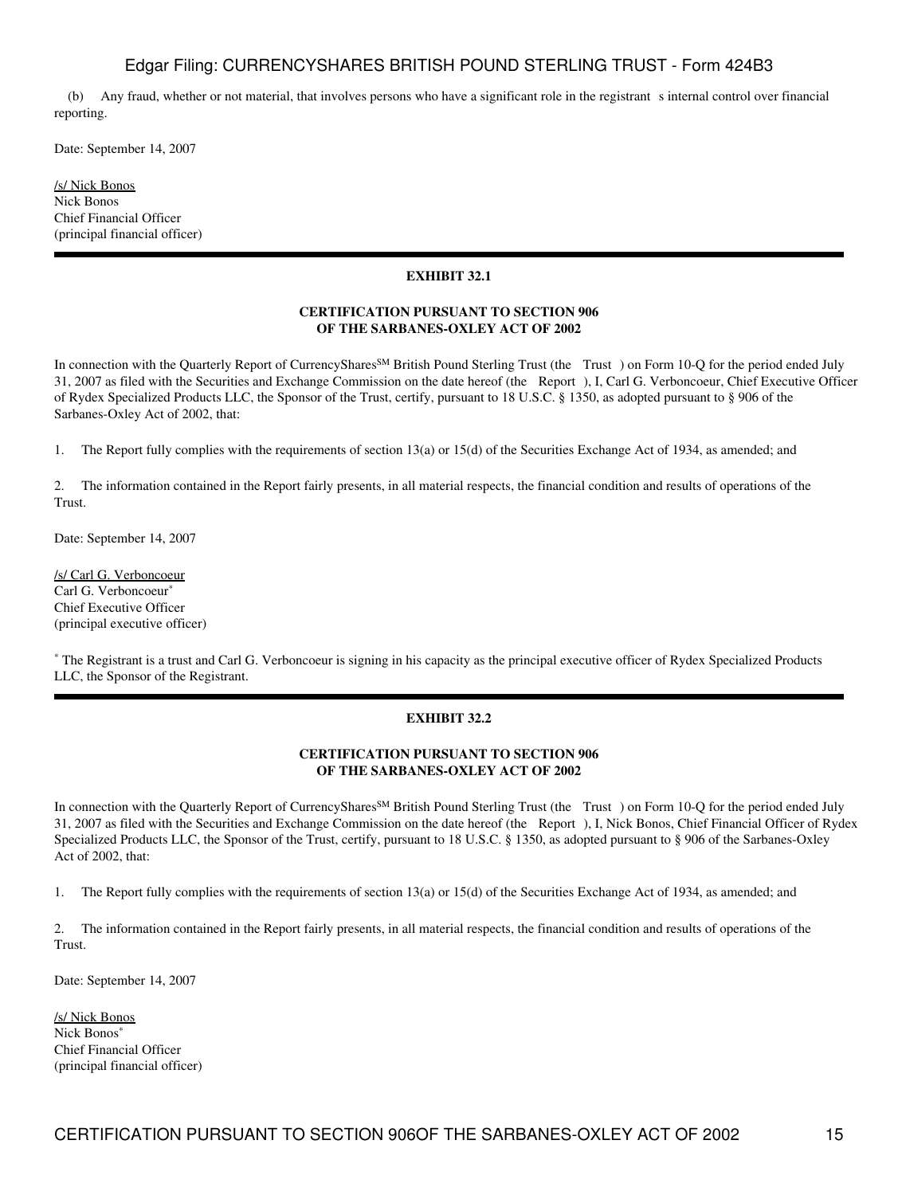(b) Any fraud, whether or not material, that involves persons who have a significant role in the registrants internal control over financial reporting.

Date: September 14, 2007

/s/ Nick Bonos Nick Bonos Chief Financial Officer (principal financial officer)

## **EXHIBIT 32.1**

## **CERTIFICATION PURSUANT TO SECTION 906 OF THE SARBANES-OXLEY ACT OF 2002**

In connection with the Quarterly Report of CurrencyShares<sup>SM</sup> British Pound Sterling Trust (the Trust) on Form 10-Q for the period ended July 31, 2007 as filed with the Securities and Exchange Commission on the date hereof (the Report), I, Carl G. Verboncoeur, Chief Executive Officer of Rydex Specialized Products LLC, the Sponsor of the Trust, certify, pursuant to 18 U.S.C. § 1350, as adopted pursuant to § 906 of the Sarbanes-Oxley Act of 2002, that:

1. The Report fully complies with the requirements of section 13(a) or 15(d) of the Securities Exchange Act of 1934, as amended; and

2. The information contained in the Report fairly presents, in all material respects, the financial condition and results of operations of the Trust.

Date: September 14, 2007

/s/ Carl G. Verboncoeur Carl G. Verboncoeur<sup>\*</sup> Chief Executive Officer (principal executive officer)

\* The Registrant is a trust and Carl G. Verboncoeur is signing in his capacity as the principal executive officer of Rydex Specialized Products LLC, the Sponsor of the Registrant.

#### **EXHIBIT 32.2**

## **CERTIFICATION PURSUANT TO SECTION 906 OF THE SARBANES-OXLEY ACT OF 2002**

In connection with the Quarterly Report of CurrencyShares<sup>SM</sup> British Pound Sterling Trust (the Trust) on Form 10-Q for the period ended July 31, 2007 as filed with the Securities and Exchange Commission on the date hereof (the Report), I, Nick Bonos, Chief Financial Officer of Rydex Specialized Products LLC, the Sponsor of the Trust, certify, pursuant to 18 U.S.C. § 1350, as adopted pursuant to § 906 of the Sarbanes-Oxley Act of 2002, that:

1. The Report fully complies with the requirements of section 13(a) or 15(d) of the Securities Exchange Act of 1934, as amended; and

2. The information contained in the Report fairly presents, in all material respects, the financial condition and results of operations of the Trust.

Date: September 14, 2007

/s/ Nick Bonos Nick Bonos<sup>\*</sup> Chief Financial Officer (principal financial officer)